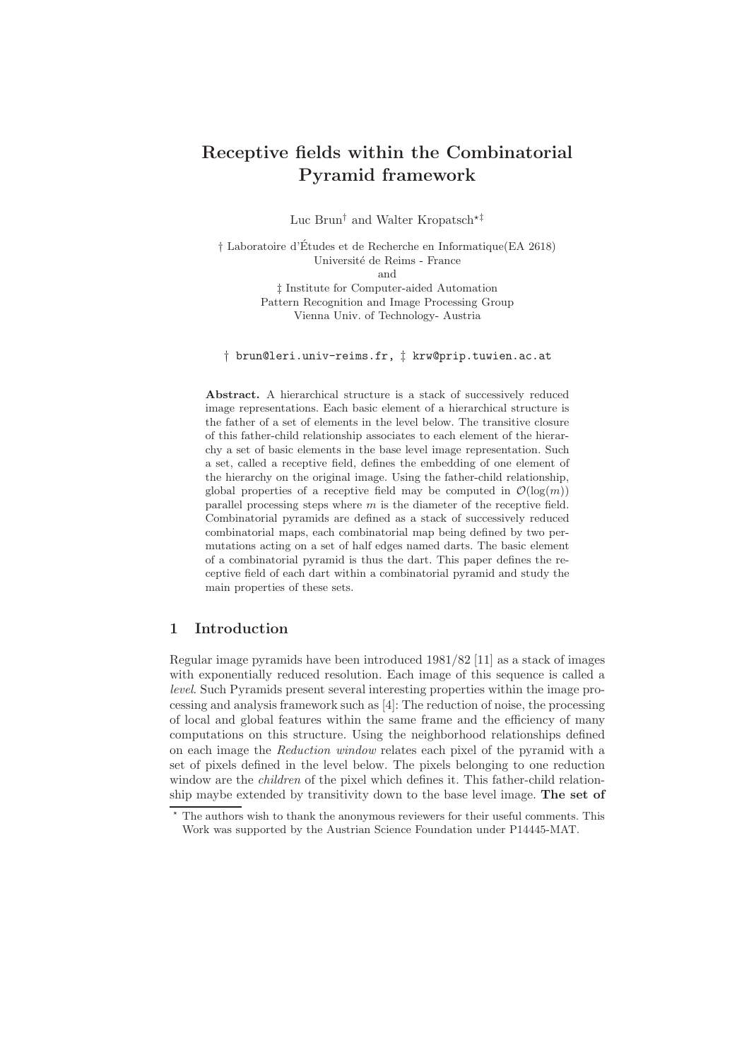# Receptive fields within the Combinatorial Pyramid framework

Luc Brun<sup>†</sup> and Walter Kropatsch<sup>\*†</sup>

† Laboratoire d'Etudes et de Recherche en Informatique(EA 2618) ´ Université de Reims - France and ‡ Institute for Computer-aided Automation Pattern Recognition and Image Processing Group Vienna Univ. of Technology- Austria

† brun@leri.univ-reims.fr, ‡ krw@prip.tuwien.ac.at

Abstract. A hierarchical structure is a stack of successively reduced image representations. Each basic element of a hierarchical structure is the father of a set of elements in the level below. The transitive closure of this father-child relationship associates to each element of the hierarchy a set of basic elements in the base level image representation. Such a set, called a receptive field, defines the embedding of one element of the hierarchy on the original image. Using the father-child relationship, global properties of a receptive field may be computed in  $\mathcal{O}(\log(m))$ parallel processing steps where  $m$  is the diameter of the receptive field. Combinatorial pyramids are defined as a stack of successively reduced combinatorial maps, each combinatorial map being defined by two permutations acting on a set of half edges named darts. The basic element of a combinatorial pyramid is thus the dart. This paper defines the receptive field of each dart within a combinatorial pyramid and study the main properties of these sets.

# 1 Introduction

Regular image pyramids have been introduced 1981/82 [11] as a stack of images with exponentially reduced resolution. Each image of this sequence is called a level. Such Pyramids present several interesting properties within the image processing and analysis framework such as [4]: The reduction of noise, the processing of local and global features within the same frame and the efficiency of many computations on this structure. Using the neighborhood relationships defined on each image the Reduction window relates each pixel of the pyramid with a set of pixels defined in the level below. The pixels belonging to one reduction window are the *children* of the pixel which defines it. This father-child relationship maybe extended by transitivity down to the base level image. The set of

The authors wish to thank the anonymous reviewers for their useful comments. This Work was supported by the Austrian Science Foundation under P14445-MAT.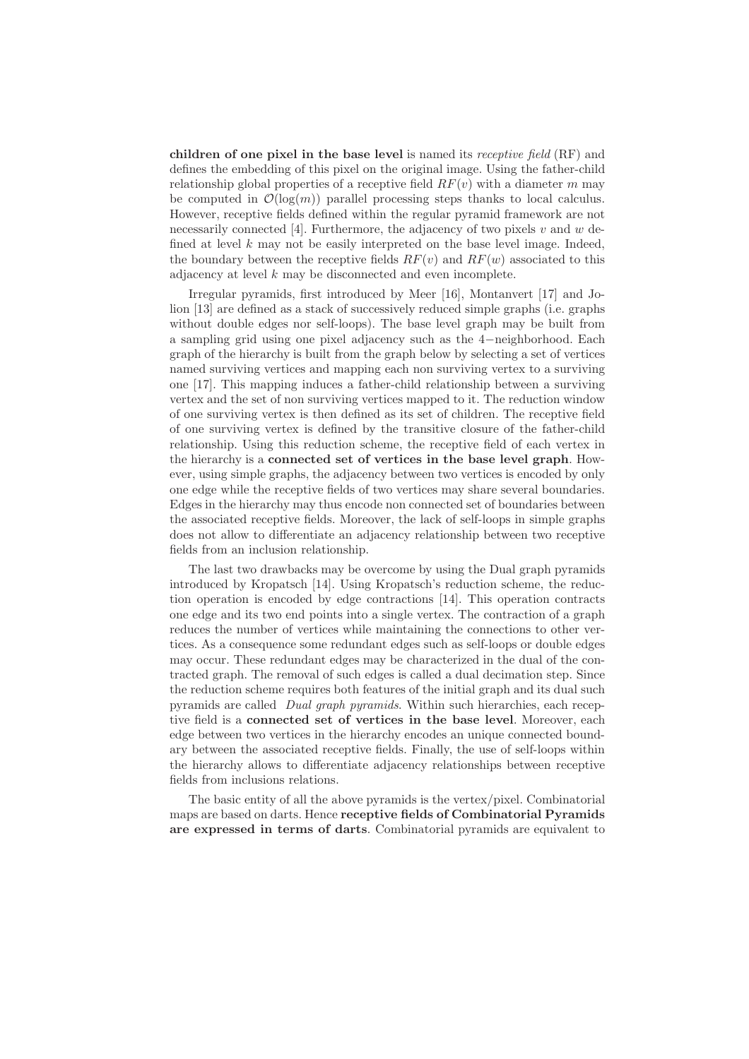children of one pixel in the base level is named its receptive field (RF) and defines the embedding of this pixel on the original image. Using the father-child relationship global properties of a receptive field  $RF(v)$  with a diameter m may be computed in  $\mathcal{O}(\log(m))$  parallel processing steps thanks to local calculus. However, receptive fields defined within the regular pyramid framework are not necessarily connected [4]. Furthermore, the adjacency of two pixels v and w defined at level  $k$  may not be easily interpreted on the base level image. Indeed, the boundary between the receptive fields  $RF(v)$  and  $RF(w)$  associated to this adjacency at level k may be disconnected and even incomplete.

Irregular pyramids, first introduced by Meer [16], Montanvert [17] and Jolion [13] are defined as a stack of successively reduced simple graphs (i.e. graphs without double edges nor self-loops). The base level graph may be built from a sampling grid using one pixel adjacency such as the 4−neighborhood. Each graph of the hierarchy is built from the graph below by selecting a set of vertices named surviving vertices and mapping each non surviving vertex to a surviving one [17]. This mapping induces a father-child relationship between a surviving vertex and the set of non surviving vertices mapped to it. The reduction window of one surviving vertex is then defined as its set of children. The receptive field of one surviving vertex is defined by the transitive closure of the father-child relationship. Using this reduction scheme, the receptive field of each vertex in the hierarchy is a connected set of vertices in the base level graph. However, using simple graphs, the adjacency between two vertices is encoded by only one edge while the receptive fields of two vertices may share several boundaries. Edges in the hierarchy may thus encode non connected set of boundaries between the associated receptive fields. Moreover, the lack of self-loops in simple graphs does not allow to differentiate an adjacency relationship between two receptive fields from an inclusion relationship.

The last two drawbacks may be overcome by using the Dual graph pyramids introduced by Kropatsch [14]. Using Kropatsch's reduction scheme, the reduction operation is encoded by edge contractions [14]. This operation contracts one edge and its two end points into a single vertex. The contraction of a graph reduces the number of vertices while maintaining the connections to other vertices. As a consequence some redundant edges such as self-loops or double edges may occur. These redundant edges may be characterized in the dual of the contracted graph. The removal of such edges is called a dual decimation step. Since the reduction scheme requires both features of the initial graph and its dual such pyramids are called Dual graph pyramids. Within such hierarchies, each receptive field is a connected set of vertices in the base level. Moreover, each edge between two vertices in the hierarchy encodes an unique connected boundary between the associated receptive fields. Finally, the use of self-loops within the hierarchy allows to differentiate adjacency relationships between receptive fields from inclusions relations.

The basic entity of all the above pyramids is the vertex/pixel. Combinatorial maps are based on darts. Hence receptive fields of Combinatorial Pyramids are expressed in terms of darts. Combinatorial pyramids are equivalent to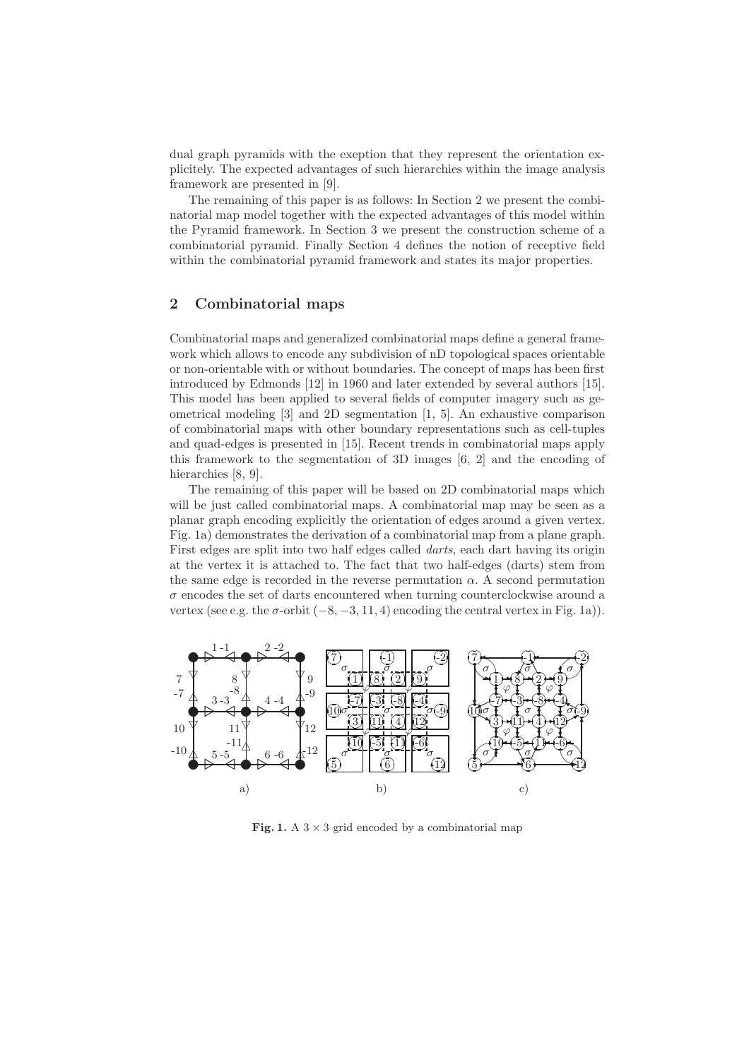dual graph pyramids with the exeption that they represent the orientation explicitely. The expected advantages of such hierarchies within the image analysis framework are presented in [9].

The remaining of this paper is as follows: In Section 2 we present the combinatorial map model together with the expected advantages of this model within the Pyramid framework. In Section 3 we present the construction scheme of a combinatorial pyramid. Finally Section 4 defines the notion of receptive field within the combinatorial pyramid framework and states its major properties.

### 2 Combinatorial maps

Combinatorial maps and generalized combinatorial maps define a general framework which allows to encode any subdivision of nD topological spaces orientable or non-orientable with or without boundaries. The concept of maps has been first introduced by Edmonds [12] in 1960 and later extended by several authors [15]. This model has been applied to several fields of computer imagery such as geometrical modeling [3] and 2D segmentation [1, 5]. An exhaustive comparison of combinatorial maps with other boundary representations such as cell-tuples and quad-edges is presented in [15]. Recent trends in combinatorial maps apply this framework to the segmentation of 3D images [6, 2] and the encoding of hierarchies [8, 9].

The remaining of this paper will be based on 2D combinatorial maps which will be just called combinatorial maps. A combinatorial map may be seen as a planar graph encoding explicitly the orientation of edges around a given vertex. Fig. 1a) demonstrates the derivation of a combinatorial map from a plane graph. First edges are split into two half edges called darts, each dart having its origin at the vertex it is attached to. The fact that two half-edges (darts) stem from the same edge is recorded in the reverse permutation  $\alpha$ . A second permutation  $\sigma$  encodes the set of darts encountered when turning counterclockwise around a vertex (see e.g. the  $\sigma$ -orbit  $(-8, -3, 11, 4)$  encoding the central vertex in Fig. 1a)).



Fig. 1. A  $3 \times 3$  grid encoded by a combinatorial map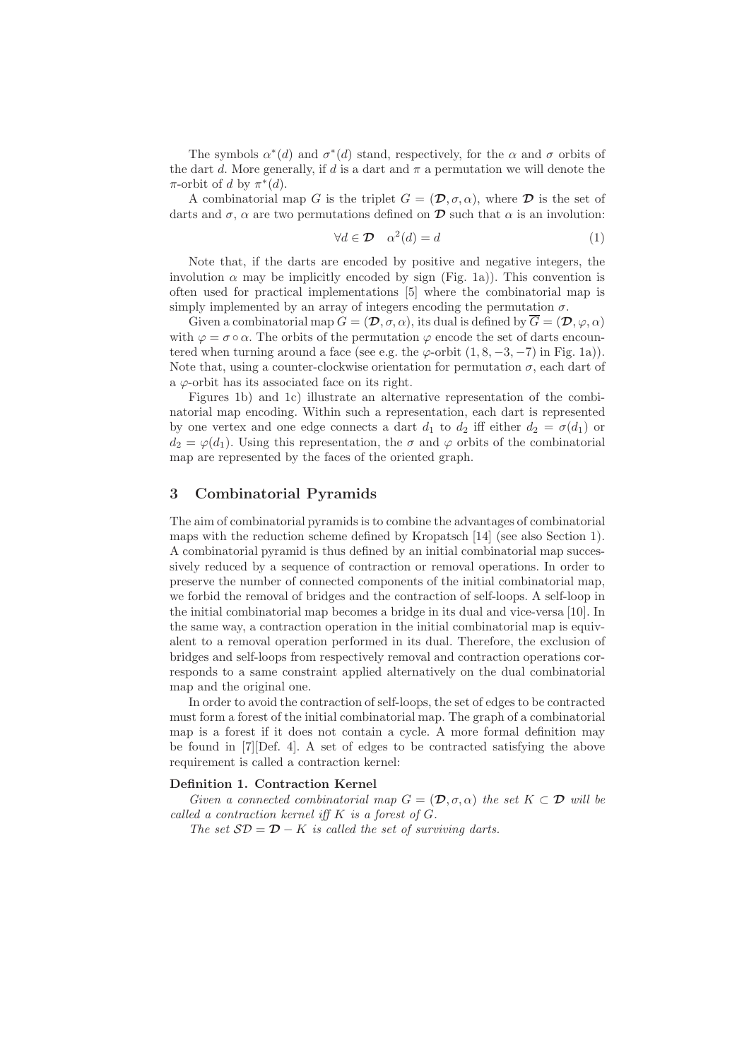The symbols  $\alpha^*(d)$  and  $\sigma^*(d)$  stand, respectively, for the  $\alpha$  and  $\sigma$  orbits of the dart d. More generally, if d is a dart and  $\pi$  a permutation we will denote the  $\pi$ -orbit of d by  $\pi^*(d)$ .

A combinatorial map G is the triplet  $G = (\mathcal{D}, \sigma, \alpha)$ , where  $\mathcal D$  is the set of darts and  $\sigma$ ,  $\alpha$  are two permutations defined on  $\mathcal{D}$  such that  $\alpha$  is an involution:

$$
\forall d \in \mathcal{D} \quad \alpha^2(d) = d \tag{1}
$$

Note that, if the darts are encoded by positive and negative integers, the involution  $\alpha$  may be implicitly encoded by sign (Fig. 1a)). This convention is often used for practical implementations [5] where the combinatorial map is simply implemented by an array of integers encoding the permutation  $\sigma$ .

Given a combinatorial map  $G = (\mathcal{D}, \sigma, \alpha)$ , its dual is defined by  $\overline{G} = (\mathcal{D}, \varphi, \alpha)$ with  $\varphi = \sigma \circ \alpha$ . The orbits of the permutation  $\varphi$  encode the set of darts encountered when turning around a face (see e.g. the  $\varphi$ -orbit  $(1, 8, -3, -7)$  in Fig. 1a)). Note that, using a counter-clockwise orientation for permutation  $\sigma$ , each dart of a  $\varphi$ -orbit has its associated face on its right.

Figures 1b) and 1c) illustrate an alternative representation of the combinatorial map encoding. Within such a representation, each dart is represented by one vertex and one edge connects a dart  $d_1$  to  $d_2$  iff either  $d_2 = \sigma(d_1)$  or  $d_2 = \varphi(d_1)$ . Using this representation, the  $\sigma$  and  $\varphi$  orbits of the combinatorial map are represented by the faces of the oriented graph.

## 3 Combinatorial Pyramids

The aim of combinatorial pyramids is to combine the advantages of combinatorial maps with the reduction scheme defined by Kropatsch [14] (see also Section 1). A combinatorial pyramid is thus defined by an initial combinatorial map successively reduced by a sequence of contraction or removal operations. In order to preserve the number of connected components of the initial combinatorial map, we forbid the removal of bridges and the contraction of self-loops. A self-loop in the initial combinatorial map becomes a bridge in its dual and vice-versa [10]. In the same way, a contraction operation in the initial combinatorial map is equivalent to a removal operation performed in its dual. Therefore, the exclusion of bridges and self-loops from respectively removal and contraction operations corresponds to a same constraint applied alternatively on the dual combinatorial map and the original one.

In order to avoid the contraction of self-loops, the set of edges to be contracted must form a forest of the initial combinatorial map. The graph of a combinatorial map is a forest if it does not contain a cycle. A more formal definition may be found in [7][Def. 4]. A set of edges to be contracted satisfying the above requirement is called a contraction kernel:

### Definition 1. Contraction Kernel

Given a connected combinatorial map  $G = (\mathcal{D}, \sigma, \alpha)$  the set  $K \subset \mathcal{D}$  will be called a contraction kernel iff  $K$  is a forest of  $G$ .

The set  $SD = D - K$  is called the set of surviving darts.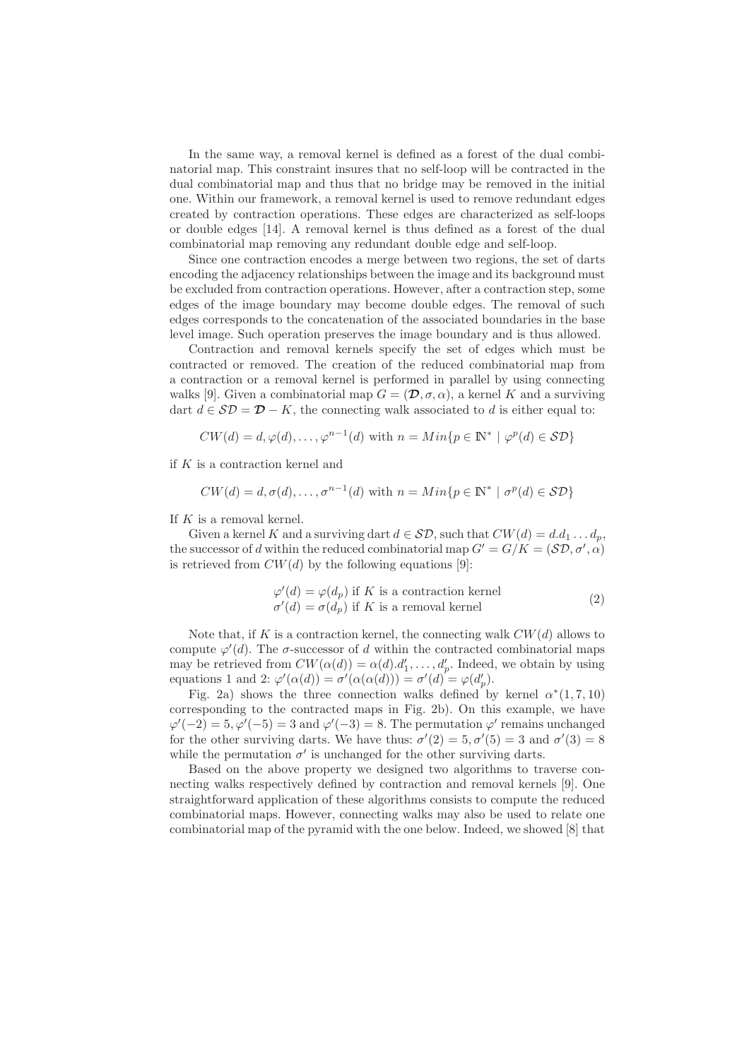In the same way, a removal kernel is defined as a forest of the dual combinatorial map. This constraint insures that no self-loop will be contracted in the dual combinatorial map and thus that no bridge may be removed in the initial one. Within our framework, a removal kernel is used to remove redundant edges created by contraction operations. These edges are characterized as self-loops or double edges [14]. A removal kernel is thus defined as a forest of the dual combinatorial map removing any redundant double edge and self-loop.

Since one contraction encodes a merge between two regions, the set of darts encoding the adjacency relationships between the image and its background must be excluded from contraction operations. However, after a contraction step, some edges of the image boundary may become double edges. The removal of such edges corresponds to the concatenation of the associated boundaries in the base level image. Such operation preserves the image boundary and is thus allowed.

Contraction and removal kernels specify the set of edges which must be contracted or removed. The creation of the reduced combinatorial map from a contraction or a removal kernel is performed in parallel by using connecting walks [9]. Given a combinatorial map  $G = (\mathcal{D}, \sigma, \alpha)$ , a kernel K and a surviving dart  $d \in \mathcal{SD} = \mathcal{D} - K$ , the connecting walk associated to d is either equal to:

$$
CW(d) = d, \varphi(d), \dots, \varphi^{n-1}(d) \text{ with } n = Min\{p \in \mathbb{N}^* \mid \varphi^p(d) \in \mathcal{SD}\}\
$$

if K is a contraction kernel and

$$
CW(d) = d, \sigma(d), \dots, \sigma^{n-1}(d) \text{ with } n = Min\{p \in \mathbb{N}^* \mid \sigma^p(d) \in \mathcal{SD}\}\
$$

If  $K$  is a removal kernel.

Given a kernel K and a surviving dart  $d \in \mathcal{SD}$ , such that  $CW(d) = d.d_1 \dots d_p$ , the successor of d within the reduced combinatorial map  $G' = G/K = (\mathcal{SD}, \sigma', \alpha)$ is retrieved from  $CW(d)$  by the following equations [9]:

$$
\varphi'(d) = \varphi(d_p) \text{ if } K \text{ is a contraction kernel}
$$
  
\n
$$
\sigma'(d) = \sigma(d_p) \text{ if } K \text{ is a removal kernel}
$$
\n(2)

Note that, if K is a contraction kernel, the connecting walk  $CW(d)$  allows to compute  $\varphi'(d)$ . The  $\sigma$ -successor of d within the contracted combinatorial maps may be retrieved from  $CW(\alpha(d)) = \alpha(d) \ldots d'_1, \ldots, d'_p$ . Indeed, we obtain by using equations 1 and 2:  $\varphi'(\alpha(d)) = \sigma'(\alpha(\alpha(d))) = \sigma'(d) = \varphi(d'_p)$ .

Fig. 2a) shows the three connection walks defined by kernel  $\alpha^*(1, 7, 10)$ corresponding to the contracted maps in Fig. 2b). On this example, we have  $\varphi'(-2) = 5, \varphi'(-5) = 3$  and  $\varphi'(-3) = 8$ . The permutation  $\varphi'$  remains unchanged for the other surviving darts. We have thus:  $\sigma'(2) = 5, \sigma'(5) = 3$  and  $\sigma'(3) = 8$ while the permutation  $\sigma'$  is unchanged for the other surviving darts.

Based on the above property we designed two algorithms to traverse connecting walks respectively defined by contraction and removal kernels [9]. One straightforward application of these algorithms consists to compute the reduced combinatorial maps. However, connecting walks may also be used to relate one combinatorial map of the pyramid with the one below. Indeed, we showed [8] that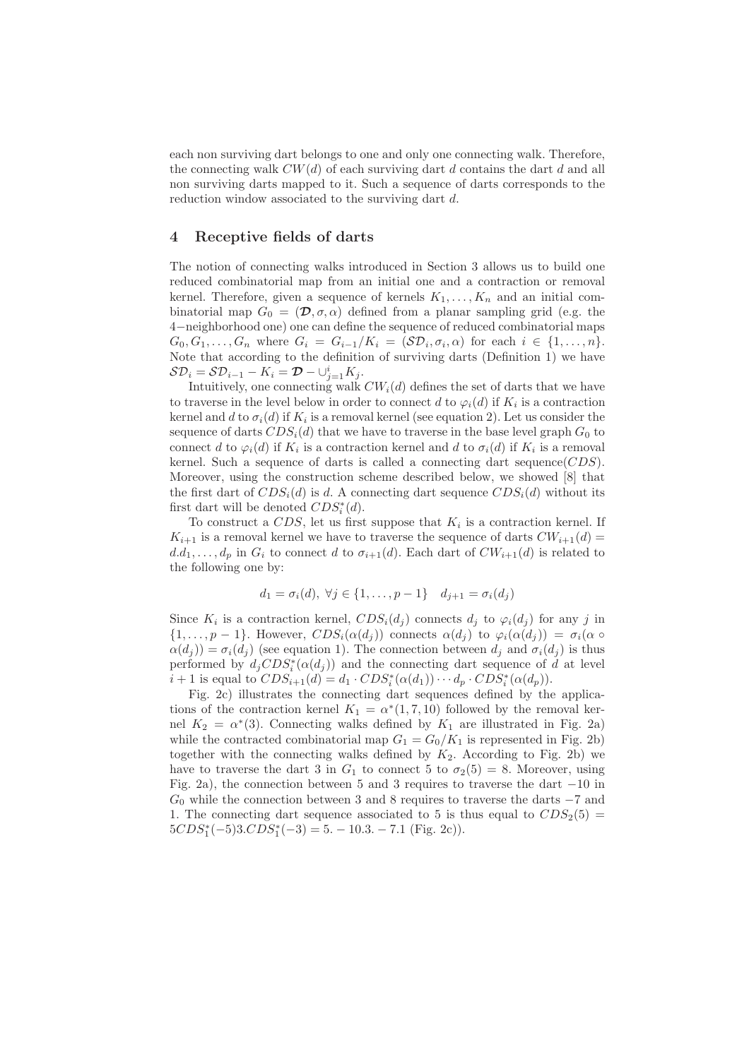each non surviving dart belongs to one and only one connecting walk. Therefore, the connecting walk  $CW(d)$  of each surviving dart d contains the dart d and all non surviving darts mapped to it. Such a sequence of darts corresponds to the reduction window associated to the surviving dart d.

#### 4 Receptive fields of darts

The notion of connecting walks introduced in Section 3 allows us to build one reduced combinatorial map from an initial one and a contraction or removal kernel. Therefore, given a sequence of kernels  $K_1, \ldots, K_n$  and an initial combinatorial map  $G_0 = (\mathcal{D}, \sigma, \alpha)$  defined from a planar sampling grid (e.g. the 4−neighborhood one) one can define the sequence of reduced combinatorial maps  $G_0, G_1, \ldots, G_n$  where  $G_i = G_{i-1}/K_i = (\mathcal{SD}_i, \sigma_i, \alpha)$  for each  $i \in \{1, \ldots, n\}.$ Note that according to the definition of surviving darts (Definition 1) we have  $\mathcal{SD}_i = \mathcal{SD}_{i-1} - K_i = \mathcal{D} - \cup_{j=1}^i K_j.$ 

Intuitively, one connecting walk  $CW_i(d)$  defines the set of darts that we have to traverse in the level below in order to connect d to  $\varphi_i(d)$  if  $K_i$  is a contraction kernel and  $d$  to  $\sigma_i(d)$  if  $K_i$  is a removal kernel (see equation 2). Let us consider the sequence of darts  $CDS_i(d)$  that we have to traverse in the base level graph  $G_0$  to connect d to  $\varphi_i(d)$  if  $K_i$  is a contraction kernel and d to  $\sigma_i(d)$  if  $K_i$  is a removal kernel. Such a sequence of darts is called a connecting dart sequence  $(CDS)$ . Moreover, using the construction scheme described below, we showed [8] that the first dart of  $CDS_i(d)$  is d. A connecting dart sequence  $CDS_i(d)$  without its first dart will be denoted  $CDS_i^*(d)$ .

To construct a  $CDS$ , let us first suppose that  $K_i$  is a contraction kernel. If  $K_{i+1}$  is a removal kernel we have to traverse the sequence of darts  $CW_{i+1}(d)$  $d.d_1, \ldots, d_p$  in  $G_i$  to connect d to  $\sigma_{i+1}(d)$ . Each dart of  $CW_{i+1}(d)$  is related to the following one by:

$$
d_1 = \sigma_i(d), \ \forall j \in \{1, ..., p-1\} \quad d_{j+1} = \sigma_i(d_j)
$$

Since  $K_i$  is a contraction kernel,  $CDS_i(d_j)$  connects  $d_j$  to  $\varphi_i(d_j)$  for any j in  $\{1,\ldots,p-1\}$ . However,  $CDS_i(\alpha(d_j))$  connects  $\alpha(d_j)$  to  $\varphi_i(\alpha(d_j)) = \sigma_i(\alpha \circ \varphi_i)$  $\alpha(d_j) = \sigma_i(d_j)$  (see equation 1). The connection between  $d_j$  and  $\sigma_i(d_j)$  is thus performed by  $d_j CDS_i^*(\alpha(d_j))$  and the connecting dart sequence of d at level  $i+1$  is equal to  $CDS_{i+1}(d) = d_1 \cdot CDS_i^*(\alpha(d_1)) \cdots d_p \cdot CDS_i^*(\alpha(d_p)).$ 

Fig. 2c) illustrates the connecting dart sequences defined by the applications of the contraction kernel  $K_1 = \alpha^*(1, 7, 10)$  followed by the removal kernel  $K_2 = \alpha^*(3)$ . Connecting walks defined by  $K_1$  are illustrated in Fig. 2a) while the contracted combinatorial map  $G_1 = G_0/K_1$  is represented in Fig. 2b) together with the connecting walks defined by  $K_2$ . According to Fig. 2b) we have to traverse the dart 3 in  $G_1$  to connect 5 to  $\sigma_2(5) = 8$ . Moreover, using Fig. 2a), the connection between 5 and 3 requires to traverse the dart −10 in  $G_0$  while the connection between 3 and 8 requires to traverse the darts  $-7$  and 1. The connecting dart sequence associated to 5 is thus equal to  $CDS_2(5)$  =  $5CDS<sub>1</sub><sup>*</sup>(-5)3.CDS<sub>1</sub><sup>*</sup>(-3) = 5. - 10.3. - 7.1 (Fig. 2c).$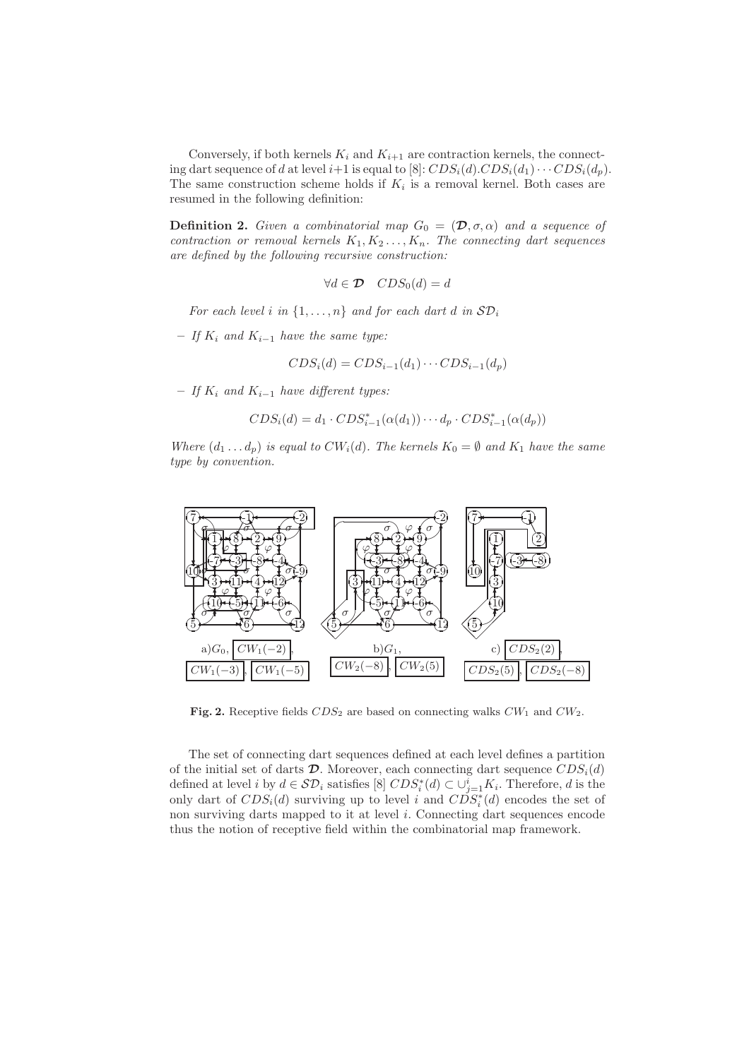Conversely, if both kernels  $K_i$  and  $K_{i+1}$  are contraction kernels, the connecting dart sequence of d at level  $i+1$  is equal to  $[8]: CDS_i(d). CDS_i(d_1)\cdots CDS_i(d_p)$ . The same construction scheme holds if  $K_i$  is a removal kernel. Both cases are resumed in the following definition:

**Definition 2.** Given a combinatorial map  $G_0 = (\mathcal{D}, \sigma, \alpha)$  and a sequence of contraction or removal kernels  $K_1, K_2, \ldots, K_n$ . The connecting dart sequences are defined by the following recursive construction:

$$
\forall d \in \mathcal{D} \quad CDS_0(d) = d
$$

For each level i in  $\{1, \ldots, n\}$  and for each dart d in  $\mathcal{SD}_i$ 

− If  $K_i$  and  $K_{i-1}$  have the same type:

$$
CDS_i(d) = CDS_{i-1}(d_1) \cdots CDS_{i-1}(d_p)
$$

− If  $K_i$  and  $K_{i-1}$  have different types:

$$
CDS_i(d) = d_1 \cdot CDS_{i-1}^*(\alpha(d_1)) \cdots d_p \cdot CDS_{i-1}^*(\alpha(d_p))
$$

Where  $(d_1 \ldots d_p)$  is equal to  $CW_i(d)$ . The kernels  $K_0 = \emptyset$  and  $K_1$  have the same type by convention.



Fig. 2. Receptive fields  $CDS_2$  are based on connecting walks  $CW_1$  and  $CW_2$ .

The set of connecting dart sequences defined at each level defines a partition of the initial set of darts  $\mathcal{D}$ . Moreover, each connecting dart sequence  $CDS_i(d)$ defined at level *i* by  $d \in \mathcal{SD}_i$  satisfies [8]  $CDS_i^*(d) \subset \bigcup_{j=1}^i K_i$ . Therefore, *d* is the only dart of  $CDS_i(d)$  surviving up to level i and  $CDS_i^*(d)$  encodes the set of non surviving darts mapped to it at level i. Connecting dart sequences encode thus the notion of receptive field within the combinatorial map framework.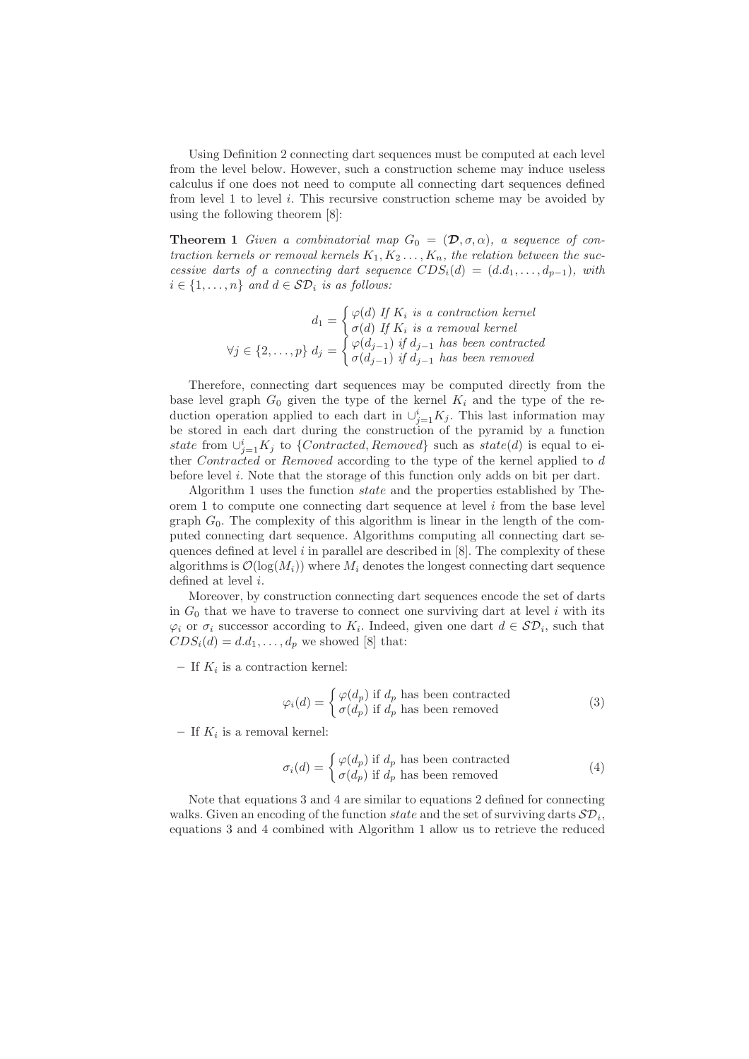Using Definition 2 connecting dart sequences must be computed at each level from the level below. However, such a construction scheme may induce useless calculus if one does not need to compute all connecting dart sequences defined from level 1 to level  $i$ . This recursive construction scheme may be avoided by using the following theorem [8]:

**Theorem 1** Given a combinatorial map  $G_0 = (\mathcal{D}, \sigma, \alpha)$ , a sequence of contraction kernels or removal kernels  $K_1, K_2, \ldots, K_n$ , the relation between the successive darts of a connecting dart sequence  $CDS_i(d) = (d.d_1, \ldots, d_{p-1}),$  with  $i \in \{1, \ldots, n\}$  and  $d \in \mathcal{SD}_i$  is as follows:

$$
d_1 = \begin{cases} \varphi(d) \text{ If } K_i \text{ is a contraction } kernel \\ \sigma(d) \text{ If } K_i \text{ is a removal } kernel \end{cases}
$$
  

$$
\forall j \in \{2, ..., p\} \ d_j = \begin{cases} \varphi(d_{j-1}) \text{ if } d_{j-1} \text{ has been contracted} \\ \sigma(d_{j-1}) \text{ if } d_{j-1} \text{ has been removed} \end{cases}
$$

Therefore, connecting dart sequences may be computed directly from the base level graph  $G_0$  given the type of the kernel  $K_i$  and the type of the reduction operation applied to each dart in  $\cup_{j=1}^{i} K_j$ . This last information may be stored in each dart during the construction of the pyramid by a function state from  $\cup_{j=1}^{i} K_j$  to {*Contracted, Removed*} such as state(d) is equal to either Contracted or Removed according to the type of the kernel applied to d before level i. Note that the storage of this function only adds on bit per dart.

Algorithm 1 uses the function state and the properties established by Theorem 1 to compute one connecting dart sequence at level  $i$  from the base level graph  $G_0$ . The complexity of this algorithm is linear in the length of the computed connecting dart sequence. Algorithms computing all connecting dart sequences defined at level  $i$  in parallel are described in  $[8]$ . The complexity of these algorithms is  $\mathcal{O}(\log(M_i))$  where  $M_i$  denotes the longest connecting dart sequence defined at level i.

Moreover, by construction connecting dart sequences encode the set of darts in  $G_0$  that we have to traverse to connect one surviving dart at level i with its  $\varphi_i$  or  $\sigma_i$  successor according to  $K_i$ . Indeed, given one dart  $d \in \mathcal{SD}_i$ , such that  $CDS_i(d) = d.d_1, \ldots, d_p$  we showed [8] that:

 $-$  If  $K_i$  is a contraction kernel:

$$
\varphi_i(d) = \begin{cases} \varphi(d_p) \text{ if } d_p \text{ has been contracted} \\ \sigma(d_p) \text{ if } d_p \text{ has been removed} \end{cases}
$$
 (3)

 $-$  If  $K_i$  is a removal kernel:

$$
\sigma_i(d) = \begin{cases} \varphi(d_p) \text{ if } d_p \text{ has been contracted} \\ \sigma(d_p) \text{ if } d_p \text{ has been removed} \end{cases} \tag{4}
$$

Note that equations 3 and 4 are similar to equations 2 defined for connecting walks. Given an encoding of the function *state* and the set of surviving darts  $\mathcal{SD}_i$ , equations 3 and 4 combined with Algorithm 1 allow us to retrieve the reduced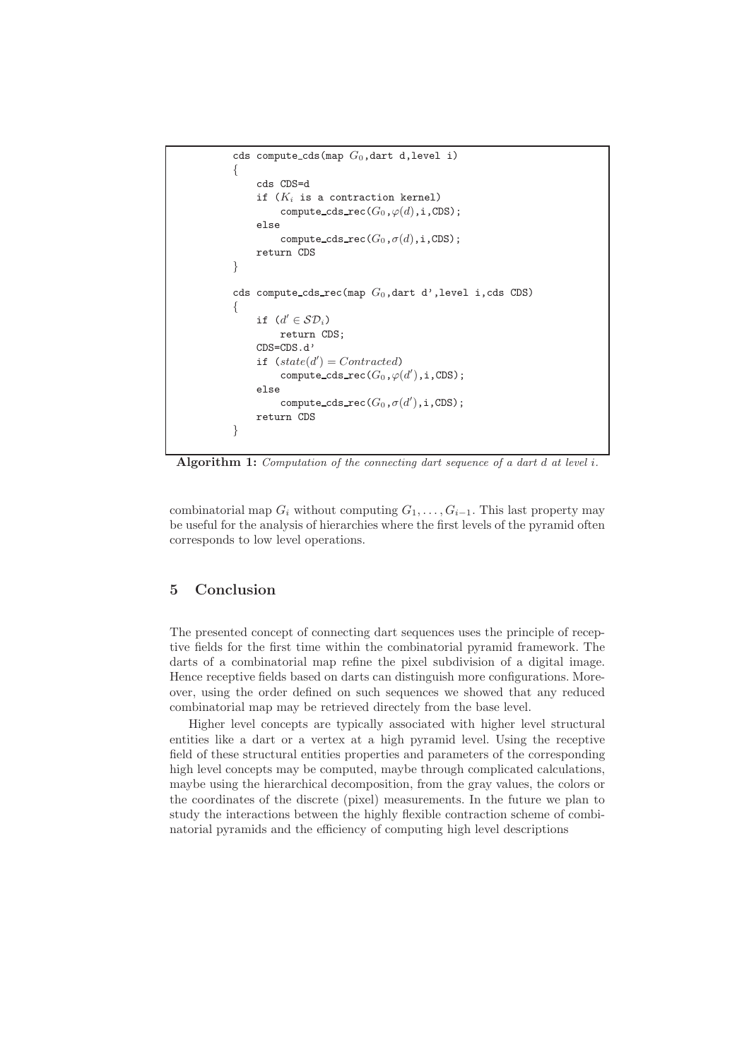```
cds compute_cds(map G_0, dart d, level i)
{
     cds CDS=d
     if (K_i is a contraction kernel)
          compute_cds_rec(G_0, \varphi(d), i,CDS);
     else
          compute_cds_rec(G_0,\sigma(d),i,CDS);
    return CDS
}
cds compute_cds_rec(map G_0, dart d', level i, cds CDS)
{
     if (d' \in \mathcal{SD}_i)return CDS;
    CDS=CDS.d'
     if (state(d') = Contracted)\texttt{compute\_cds\_rec}(G_0, \varphi(d'), \texttt{i}, \texttt{CDS});
    else
          compute_cds_rec(G_0, \sigma(d'),i,CDS);
    return CDS
}
```
Algorithm 1: Computation of the connecting dart sequence of a dart d at level  $i$ .

combinatorial map  $G_i$  without computing  $G_1, \ldots, G_{i-1}$ . This last property may be useful for the analysis of hierarchies where the first levels of the pyramid often corresponds to low level operations.

# 5 Conclusion

The presented concept of connecting dart sequences uses the principle of receptive fields for the first time within the combinatorial pyramid framework. The darts of a combinatorial map refine the pixel subdivision of a digital image. Hence receptive fields based on darts can distinguish more configurations. Moreover, using the order defined on such sequences we showed that any reduced combinatorial map may be retrieved directely from the base level.

Higher level concepts are typically associated with higher level structural entities like a dart or a vertex at a high pyramid level. Using the receptive field of these structural entities properties and parameters of the corresponding high level concepts may be computed, maybe through complicated calculations, maybe using the hierarchical decomposition, from the gray values, the colors or the coordinates of the discrete (pixel) measurements. In the future we plan to study the interactions between the highly flexible contraction scheme of combinatorial pyramids and the efficiency of computing high level descriptions